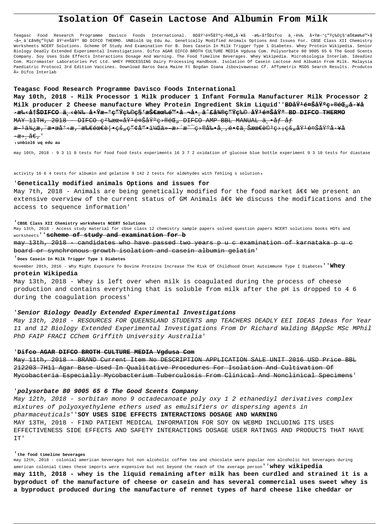# Isolation Of Casein Lactose And Albumin From Milk

Teagasc Food Research Programme Davisco Foods International. BDåŸ<sup>1</sup>養基ç>®éC"å·¥å ·æ‰<åtŠDifco ä,<載 啟æ-ºç"Ÿç‰©ç§'技有陕å Υ,â^fྮç"Ÿç‰© åŸ<sup>1</sup>養埰 BD DIFCO THERMO. UNBiol6 Uq Edu Au. Genetically Modified Animals Options And Issues For. CBSE Class XII Chemistry Worksheets NCERT Solutions. Scheme Of Study And Examination For B. Does Casein In Milk Trigger Type 1 Diabetes. Whey Protein Wikipedia. Senior Biology Deadly Extended Experimental Investigations. Difco AGAR DIFCO BROTH CULTURE MEDIA Vgdusa Com. Polysorbate 80 9005 65 6 The Good Scents Company. Soy Uses Side Effects Interactions Dosage And Warning. The Food Timeline Beverages. Whey Wikipedia. Microbiologia Interlab. Ideadiez Com. Micromaster Laboratories Pvt Ltd. WHEY PROCESSING Dairy Processing Handbook. Isolation Of Casein Lactose And Albumin From Milk. Malaysia Paediatric Protocol 3rd Edition Vaccines. Download Baros Daca Maine Ft Bogdan Ioana Jibovivawosac Cf. Affymetrix MSDS Search Results. Produtos » Difco Interlab

## Teagasc Food Research Programme Davisco Foods International

May 10th, 2018 - Milk Processor 1 Milk producer 1 Infant Formula Manufacturer Milk Processor 2 Milk producer 2 Cheese manufacture Whey Protein Ingredient Skim Liquid''BDåŸ<sup>1</sup>養基ç→®éŒ<sub>n</sub>å·¥å <del>٠手冊DIFCO ä ‹è¼‰ 啟æ–ºç″Ÿç‰©ç§≀技有陕å ¬å• â^£å¾®ç″Ÿç‰© 埱養基 BD DIFCO THERMO</del> MAY 11TH, 2018 DIFCO c<sup>2</sup>‰xxe«åŸ<sup>1</sup>養基ç>®éC, DIFCO AMP BBL MANUAL ä,•åf åf

<del>æ ˈ便æ,¨æ•œåº‹æ,¨æ‰€éœ€è|•çš"ç″¢å"•,ä» æ>´æ~¯ç>®å‰•å¸,镢上最詪ç>¡çš"埪養基å∙¥å</del>

 $\rightarrow \mathbb{R} \rightarrow \widetilde{\mathbb{R}} \in \mathbb{R}$ .

unbiol6 uq edu au

may 10th, 2018 - 9 3 11 0 tests for food food tests experiments 16 3 7 2 oxidation of glucose blue bottle experiment 9 3 10 tests for diastase

activity 16 6 4 tests for albumin and gelatine 9 142 2 tests for aldehydes with fehling s solution,

# 'Genetically modified animals Options and issues for

May 7th, 2018 - Animals are being genetically modified for the food market  $\hat{a}\in\zeta$  We present an extensive overview of the current status of GM Animals  $\hat{a}\in\zeta$  We discuss the modifications and the access to sequence information'

#### 'CBSE Class XII Chemistry worksheets NCERT Solutions

May 13th, 2018 - Access study material for cbse class 12 chemistry sample papers solved question papers NCERT solutions books HOTs and worksheets' 'scheme of study and examination for b

may 13th, 2018 — candidates who have passed two years p u c examination of karnataka p u c board or synchronous growth isolation and casein albumin gelatin'

#### Does Casein In Milk Trigger Type 1 Diabetes

November 28th, 2016 - Why Might Exposure To Bovine Proteins Increase The Risk Of Childhood Onset Autoimmune Type I Diabetes ' Whey protein Wikipedia

May 13th, 2018 - Whey is left over when milk is coagulated during the process of cheese production and contains everything that is soluble from milk after the pH is dropped to 4 6 during the coagulation process'

## 'Senior Biology Deadly Extended Experimental Investigations

May 13th, 2018 - RESOURCES FOR QUEENSLAND STUDENTS amp TEACHERS DEADLY EEI IDEAS Ideas for Year 11 and 12 Biology Extended Experimental Investigations From Dr Richard Walding BAppSc MSc MPhil PhD FAIP FRACI CChem Griffith University Australia'

## 'Difco AGAR DIFCO BROTH CULTURE MEDIA Vgdusa Com

<u>May 11th, 2018 - BRAND Current Item No DESCRIPTION APPLICATION SALE UNIT 2016 USD Price BBL</u> 212203 7H11 Agar Base Used In Qualitative Procedures For Isolation And Cultivation Of Mycobacteria Especially Mycobacterium Tuberculosis From Clinical And Nonclinical Specimens'

# 'polysorbate 80 9005 65 6 The Good Scents Company

May 12th, 2018 - sorbitan mono 9 octadecanoate poly oxy 1 2 ethanediyl derivatives complex mixtures of polyoxyethylene ethers used as emulsifiers or dispersing agents in pharmaceuticals' SOY USES SIDE EFFECTS INTERACTIONS DOSAGE AND WARNING MAY 13TH, 2018 - FIND PATIENT MEDICAL INFORMATION FOR SOY ON WEBMD INCLUDING ITS USES EFFECTIVENESS SIDE EFFECTS AND SAFETY INTERACTIONS DOSAGE USER RATINGS AND PRODUCTS THAT HAVE IT'

## the food timeline beverages

may 12th, 2018 - colonial american beverages hot non alcoholic coffee tea and chocolate were popular non alcoholic hot beverages during american colonial times these imports were expensive but not beyond the reach of the average person' 'whey wikipedia may 11th, 2018 - whey is the liquid remaining after milk has been curdled and strained it is a

byproduct of the manufacture of cheese or casein and has several commercial uses sweet whey is a byproduct produced during the manufacture of rennet types of hard cheese like cheddar or